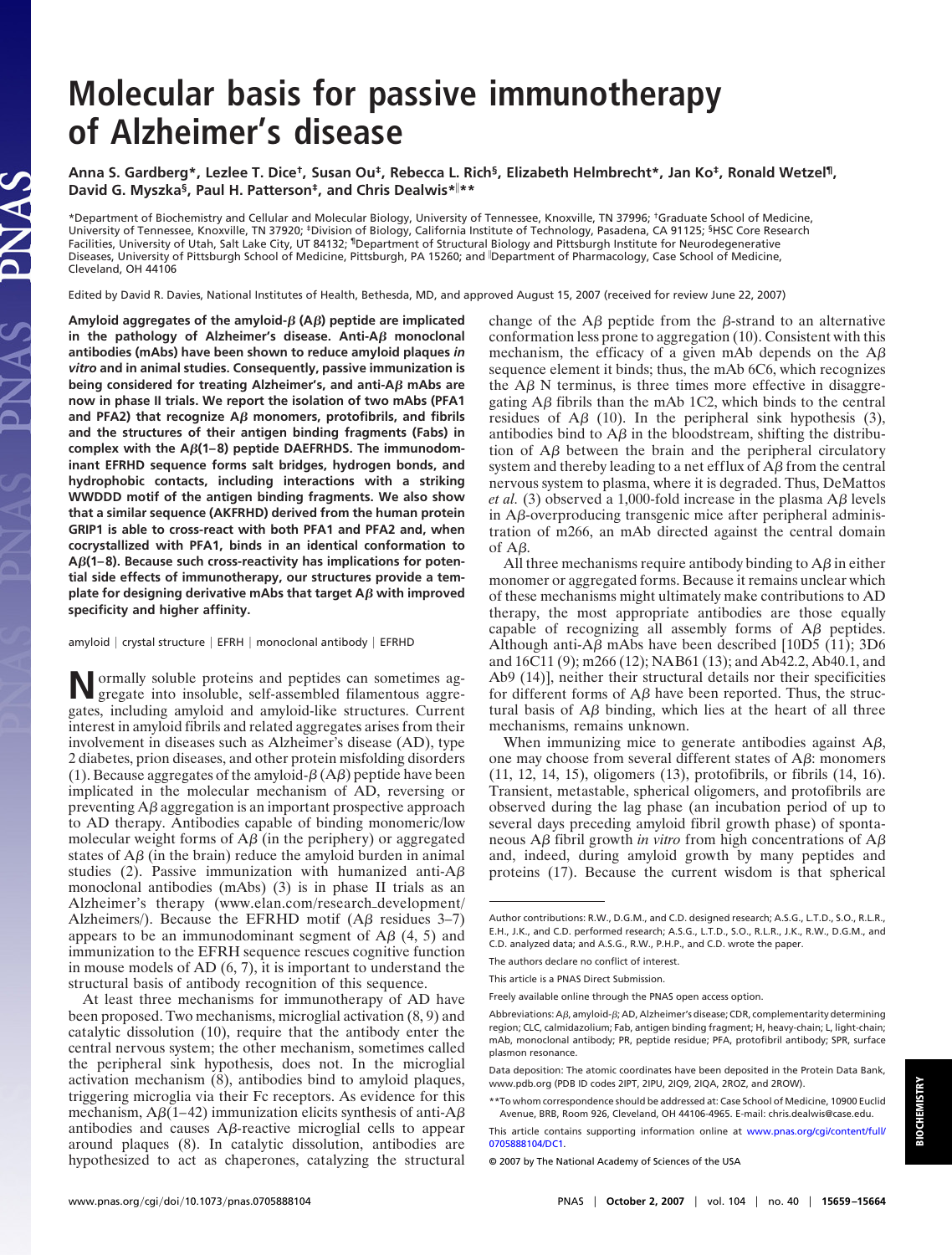# **Molecular basis for passive immunotherapy of Alzheimer's disease**

**Anna S. Gardberg\*, Lezlee T. Dice†, Susan Ou‡, Rebecca L. Rich§, Elizabeth Helmbrecht\*, Jan Ko‡, Ronald Wetzel¶, David G. Myszka§, Paul H. Patterson‡, and Chris Dealwis\* \*\***

\*Department of Biochemistry and Cellular and Molecular Biology, University of Tennessee, Knoxville, TN 37996; †Graduate School of Medicine, University of Tennessee, Knoxville, TN 37920; ‡Division of Biology, California Institute of Technology, Pasadena, CA 91125; §HSC Core Research Facilities, University of Utah, Salt Lake City, UT 84132; <sup>1</sup>Department of Structural Biology and Pittsburgh Institute for Neurodegenerative Diseases, University of Pittsburgh School of Medicine, Pittsburgh, PA 15260; and Department of Pharmacology, Case School of Medicine, Cleveland, OH 44106

Edited by David R. Davies, National Institutes of Health, Bethesda, MD, and approved August 15, 2007 (received for review June 22, 2007)

**Amyloid aggregates of the amyloid- (A) peptide are implicated** in the pathology of Alzheimer's disease. Anti-A $\beta$  monoclonal **antibodies (mAbs) have been shown to reduce amyloid plaques** *in vitro* **and in animal studies. Consequently, passive immunization is being considered for treating Alzheimer's, and anti-A** $\beta$  **mAbs are now in phase II trials. We report the isolation of two mAbs (PFA1** and PFA2) that recognize  $A\beta$  monomers, protofibrils, and fibrils **and the structures of their antigen binding fragments (Fabs) in complex with the A(1–8) peptide DAEFRHDS. The immunodominant EFRHD sequence forms salt bridges, hydrogen bonds, and hydrophobic contacts, including interactions with a striking WWDDD motif of the antigen binding fragments. We also show that a similar sequence (AKFRHD) derived from the human protein GRIP1 is able to cross-react with both PFA1 and PFA2 and, when cocrystallized with PFA1, binds in an identical conformation to A(1–8). Because such cross-reactivity has implications for potential side effects of immunotherapy, our structures provide a template for designing derivative mAbs that target**  $\mathsf{A}\beta$  **with improved specificity and higher affinity.**

LAS

amyloid | crystal structure | EFRH | monoclonal antibody | EFRHD

**N**ormally soluble proteins and peptides can sometimes agregate into insoluble, self-assembled filamentous aggregates, including amyloid and amyloid-like structures. Current interest in amyloid fibrils and related aggregates arises from their involvement in diseases such as Alzheimer's disease (AD), type 2 diabetes, prion diseases, and other protein misfolding disorders (1). Because aggregates of the amyloid- $\beta$  (A $\beta$ ) peptide have been implicated in the molecular mechanism of AD, reversing or preventing  $\overline{AB}$  aggregation is an important prospective approach to AD therapy. Antibodies capable of binding monomeric/low molecular weight forms of  $A\beta$  (in the periphery) or aggregated states of  $A\beta$  (in the brain) reduce the amyloid burden in animal studies (2). Passive immunization with humanized anti- $A\beta$ monoclonal antibodies (mAbs) (3) is in phase II trials as an Alzheimer's therapy (www.elan.com/research\_development/ Alzheimers/). Because the EFRHD motif  $(A\beta$  residues 3–7) appears to be an immunodominant segment of  $\overrightarrow{AB}$  (4, 5) and immunization to the EFRH sequence rescues cognitive function in mouse models of AD (6, 7), it is important to understand the structural basis of antibody recognition of this sequence.

At least three mechanisms for immunotherapy of AD have been proposed. Two mechanisms, microglial activation (8, 9) and catalytic dissolution (10), require that the antibody enter the central nervous system; the other mechanism, sometimes called the peripheral sink hypothesis, does not. In the microglial activation mechanism (8), antibodies bind to amyloid plaques, triggering microglia via their Fc receptors. As evidence for this mechanism,  $A\beta(1-42)$  immunization elicits synthesis of anti- $A\beta$ antibodies and causes  $\Delta\beta$ -reactive microglial cells to appear around plaques (8). In catalytic dissolution, antibodies are hypothesized to act as chaperones, catalyzing the structural change of the  $\mathbf{A}\beta$  peptide from the  $\beta$ -strand to an alternative conformation less prone to aggregation (10). Consistent with this mechanism, the efficacy of a given mAb depends on the  $A\beta$ sequence element it binds; thus, the mAb 6C6, which recognizes the  $\Delta \beta$  N terminus, is three times more effective in disaggregating  $A\beta$  fibrils than the mAb 1C2, which binds to the central residues of  $\overrightarrow{AB}$  (10). In the peripheral sink hypothesis (3), antibodies bind to  $A\beta$  in the bloodstream, shifting the distribution of  $A\beta$  between the brain and the peripheral circulatory system and thereby leading to a net efflux of  $\overrightarrow{AB}$  from the central nervous system to plasma, where it is degraded. Thus, DeMattos *et al.* (3) observed a 1,000-fold increase in the plasma  $\overrightarrow{AB}$  levels in A $\beta$ -overproducing transgenic mice after peripheral administration of m266, an mAb directed against the central domain of  $A\beta$ .

All three mechanisms require antibody binding to  $A\beta$  in either monomer or aggregated forms. Because it remains unclear which of these mechanisms might ultimately make contributions to AD therapy, the most appropriate antibodies are those equally capable of recognizing all assembly forms of  $A\beta$  peptides. Although anti-A $\beta$  mAbs have been described [10D5 (11); 3D6 and 16C11 (9); m266 (12); NAB61 (13); and Ab42.2, Ab40.1, and Ab9 (14)], neither their structural details nor their specificities for different forms of  $A\beta$  have been reported. Thus, the structural basis of  $\overrightarrow{AB}$  binding, which lies at the heart of all three mechanisms, remains unknown.

When immunizing mice to generate antibodies against  $A\beta$ , one may choose from several different states of  $A\beta$ : monomers (11, 12, 14, 15), oligomers (13), protofibrils, or fibrils (14, 16). Transient, metastable, spherical oligomers, and protofibrils are observed during the lag phase (an incubation period of up to several days preceding amyloid fibril growth phase) of spontaneous  $A\beta$  fibril growth *in vitro* from high concentrations of  $A\beta$ and, indeed, during amyloid growth by many peptides and proteins (17). Because the current wisdom is that spherical

The authors declare no conflict of interest.

Author contributions: R.W., D.G.M., and C.D. designed research; A.S.G., L.T.D., S.O., R.L.R., E.H., J.K., and C.D. performed research; A.S.G., L.T.D., S.O., R.L.R., J.K., R.W., D.G.M., and C.D. analyzed data; and A.S.G., R.W., P.H.P., and C.D. wrote the paper.

This article is a PNAS Direct Submission.

Freely available online through the PNAS open access option.

Abbreviations: A $\beta$ , amyloid- $\beta$ ; AD, Alzheimer's disease; CDR, complementarity determining region; CLC, calmidazolium; Fab, antigen binding fragment; H, heavy-chain; L, light-chain; mAb, monoclonal antibody; PR, peptide residue; PFA, protofibril antibody; SPR, surface plasmon resonance.

Data deposition: The atomic coordinates have been deposited in the Protein Data Bank, www.pdb.org (PDB ID codes 2IPT, 2IPU, 2IQ9, 2IQA, 2ROZ, and 2ROW).

<sup>\*\*</sup>To whom correspondence should be addressed at: Case School of Medicine, 10900 Euclid Avenue, BRB, Room 926, Cleveland, OH 44106-4965. E-mail: chris.dealwis@case.edu.

This article contains supporting information online at [www.pnas.org/cgi/content/full/](http://www.pnas.org/cgi/content/full/0705888104/DC1) [0705888104/DC1.](http://www.pnas.org/cgi/content/full/0705888104/DC1)

<sup>© 2007</sup> by The National Academy of Sciences of the USA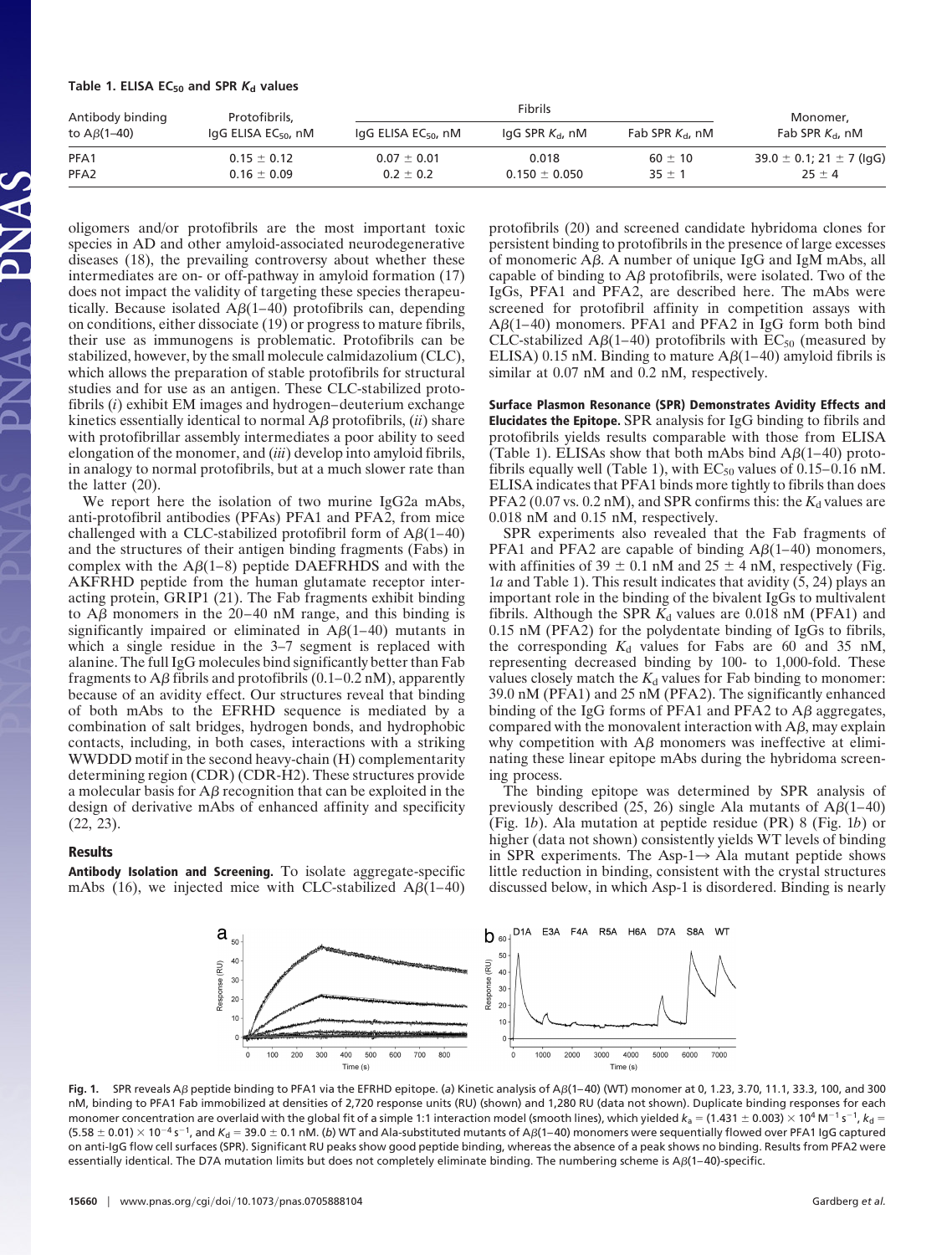## Table 1. ELISA  $EC_{50}$  and SPR  $K_d$  values

| Antibody binding<br>to $A\beta(1-40)$ | Protofibrils.                   |                                    | Monomer,               |                    |                                  |
|---------------------------------------|---------------------------------|------------------------------------|------------------------|--------------------|----------------------------------|
|                                       | IgG ELISA EC <sub>50</sub> , nM | $I$ gG ELISA EC <sub>50</sub> , nM | $\lg G$ SPR $K_d$ , nM | Fab SPR $K_d$ , nM | Fab SPR $K_{d}$ , nM             |
| PFA1                                  | $0.15 \pm 0.12$                 | $0.07 \pm 0.01$                    | 0.018                  | $60 \pm 10$        | 39.0 $\pm$ 0.1; 21 $\pm$ 7 (lgG) |
| PFA <sub>2</sub>                      | $0.16 \pm 0.09$                 | $0.2 \pm 0.2$                      | $0.150 \pm 0.050$      | $35 \pm 1$         | $25 \pm 4$                       |

oligomers and/or protofibrils are the most important toxic species in AD and other amyloid-associated neurodegenerative diseases (18), the prevailing controversy about whether these intermediates are on- or off-pathway in amyloid formation (17) does not impact the validity of targeting these species therapeutically. Because isolated  $A\beta(1-40)$  protofibrils can, depending on conditions, either dissociate (19) or progress to mature fibrils, their use as immunogens is problematic. Protofibrils can be stabilized, however, by the small molecule calmidazolium (CLC), which allows the preparation of stable protofibrils for structural studies and for use as an antigen. These CLC-stabilized protofibrils (*i*) exhibit EM images and hydrogen–deuterium exchange kinetics essentially identical to normal  $\mathbf{A}\boldsymbol{\beta}$  protofibrils, *(ii)* share with protofibrillar assembly intermediates a poor ability to seed elongation of the monomer, and (*iii*) develop into amyloid fibrils, in analogy to normal protofibrils, but at a much slower rate than the latter (20).

We report here the isolation of two murine IgG2a mAbs, anti-protofibril antibodies (PFAs) PFA1 and PFA2, from mice challenged with a CLC-stabilized protofibril form of  $A\beta(1-40)$ and the structures of their antigen binding fragments (Fabs) in complex with the  $A\beta(1-8)$  peptide DAEFRHDS and with the AKFRHD peptide from the human glutamate receptor interacting protein, GRIP1 (21). The Fab fragments exhibit binding to  $\overrightarrow{AB}$  monomers in the 20–40 nM range, and this binding is significantly impaired or eliminated in  $A\beta(1-40)$  mutants in which a single residue in the 3–7 segment is replaced with alanine. The full IgG molecules bind significantly better than Fab fragments to  $\mathbf{A}\boldsymbol{\beta}$  fibrils and protofibrils (0.1–0.2 nM), apparently because of an avidity effect. Our structures reveal that binding of both mAbs to the EFRHD sequence is mediated by a combination of salt bridges, hydrogen bonds, and hydrophobic contacts, including, in both cases, interactions with a striking WWDDD motif in the second heavy-chain (H) complementarity determining region (CDR) (CDR-H2). These structures provide a molecular basis for  $A\beta$  recognition that can be exploited in the design of derivative mAbs of enhanced affinity and specificity (22, 23).

#### **Results**

**Antibody Isolation and Screening.** To isolate aggregate-specific mAbs (16), we injected mice with CLC-stabilized  $A\beta(1-40)$  protofibrils (20) and screened candidate hybridoma clones for persistent binding to protofibrils in the presence of large excesses of monomeric  $A\beta$ . A number of unique IgG and IgM mAbs, all capable of binding to  $A\beta$  protofibrils, were isolated. Two of the IgGs, PFA1 and PFA2, are described here. The mAbs were screened for protofibril affinity in competition assays with  $A\beta(1-40)$  monomers. PFA1 and PFA2 in IgG form both bind CLC-stabilized A $\beta$ (1–40) protofibrils with EC<sub>50</sub> (measured by ELISA) 0.15 nM. Binding to mature  $A\beta(1-40)$  amyloid fibrils is similar at 0.07 nM and 0.2 nM, respectively.

**Surface Plasmon Resonance (SPR) Demonstrates Avidity Effects and Elucidates the Epitope.** SPR analysis for IgG binding to fibrils and protofibrils yields results comparable with those from ELISA (Table 1). ELISAs show that both mAbs bind  $A\beta(1-40)$  protofibrils equally well (Table 1), with  $EC_{50}$  values of 0.15–0.16 nM. ELISA indicates that PFA1 binds more tightly to fibrils than does PFA2 ( $0.07$  vs.  $0.2$  nM), and SPR confirms this: the  $K_d$  values are 0.018 nM and 0.15 nM, respectively.

SPR experiments also revealed that the Fab fragments of PFA1 and PFA2 are capable of binding  $A\beta(1-40)$  monomers, with affinities of 39  $\pm$  0.1 nM and 25  $\pm$  4 nM, respectively (Fig. 1*a* and Table 1). This result indicates that avidity (5, 24) plays an important role in the binding of the bivalent IgGs to multivalent fibrils. Although the SPR  $K_d$  values are 0.018 nM (PFA1) and 0.15 nM (PFA2) for the polydentate binding of IgGs to fibrils, the corresponding  $K_d$  values for Fabs are 60 and 35 nM, representing decreased binding by 100- to 1,000-fold. These values closely match the  $K_d$  values for Fab binding to monomer: 39.0 nM (PFA1) and 25 nM (PFA2). The significantly enhanced binding of the IgG forms of PFA1 and PFA2 to  $\overline{AB}$  aggregates, compared with the monovalent interaction with  $A\beta$ , may explain why competition with  $\Delta\beta$  monomers was ineffective at eliminating these linear epitope mAbs during the hybridoma screening process.

The binding epitope was determined by SPR analysis of previously described (25, 26) single Ala mutants of  $A\beta(1-40)$ (Fig. 1*b*). Ala mutation at peptide residue (PR) 8 (Fig. 1*b*) or higher (data not shown) consistently yields WT levels of binding in SPR experiments. The Asp-1 $\rightarrow$  Ala mutant peptide shows little reduction in binding, consistent with the crystal structures discussed below, in which Asp-1 is disordered. Binding is nearly



Fig. 1. SPR reveals AB peptide binding to PFA1 via the EFRHD epitope. (a) Kinetic analysis of AB(1–40) (WT) monomer at 0, 1.23, 3.70, 11.1, 33.3, 100, and 300 nM, binding to PFA1 Fab immobilized at densities of 2,720 response units (RU) (shown) and 1,280 RU (data not shown). Duplicate binding responses for each monomer concentration are overlaid with the global fit of a simple 1:1 interaction model (smooth lines), which yielded  $k_{\rm a} = (1.431 \pm 0.003) \times 10^4$  M $^{-1}$  s $^{-1}$ ,  $k_{\rm d} =$ (5.58  $\pm$  0.01)  $\times$  10<sup>-4</sup> s<sup>-1</sup>, and  $K_{\rm d}$  = 39.0  $\pm$  0.1 nM. (*b*) WT and Ala-substituted mutants of A $\beta$ (1–40) monomers were sequentially flowed over PFA1 IgG captured on anti-IgG flow cell surfaces (SPR). Significant RU peaks show good peptide binding, whereas the absence of a peak shows no binding. Results from PFA2 were essentially identical. The D7A mutation limits but does not completely eliminate binding. The numbering scheme is  $A\beta(1-40)$ -specific.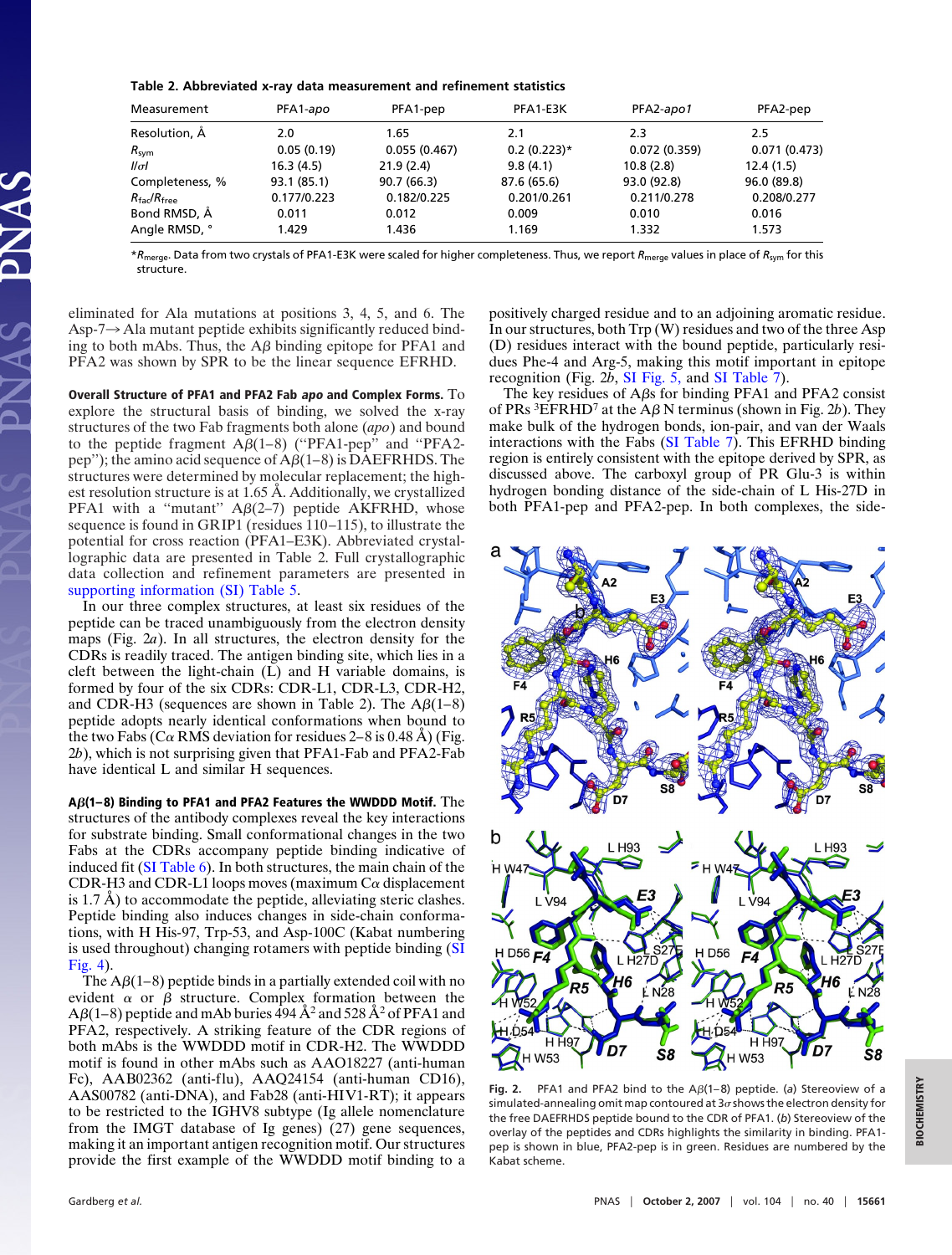**Table 2. Abbreviated x-ray data measurement and refinement statistics**

| Measurement                      | PFA1-apo    | PFA1-pep     | PFA1-E3K      | PFA2-apo1    | PFA2-pep     |
|----------------------------------|-------------|--------------|---------------|--------------|--------------|
| Resolution, A                    | 2.0         | 1.65         | 2.1           | 2.3          | 2.5          |
| $R_{sym}$                        | 0.05(0.19)  | 0.055(0.467) | $0.2(0.223)*$ | 0.072(0.359) | 0.071(0.473) |
| $\mathcal{U}\sigma\mathcal{U}$   | 16.3(4.5)   | 21.9(2.4)    | 9.8(4.1)      | 10.8(2.8)    | 12.4(1.5)    |
| Completeness, %                  | 93.1 (85.1) | 90.7 (66.3)  | 87.6 (65.6)   | 93.0 (92.8)  | 96.0 (89.8)  |
| $R_{\text{fac}}/R_{\text{free}}$ | 0.177/0.223 | 0.182/0.225  | 0.201/0.261   | 0.211/0.278  | 0.208/0.277  |
| Bond RMSD, Å                     | 0.011       | 0.012        | 0.009         | 0.010        | 0.016        |
| Angle RMSD, °                    | 1.429       | 1.436        | 1.169         | 1.332        | 1.573        |

\**R*merge. Data from two crystals of PFA1-E3K were scaled for higher completeness. Thus, we report *R*merge values in place of *R*sym for this structure.

eliminated for Ala mutations at positions 3, 4, 5, and 6. The Asp-7 $\rightarrow$  Ala mutant peptide exhibits significantly reduced binding to both mAbs. Thus, the  $A\beta$  binding epitope for PFA1 and PFA2 was shown by SPR to be the linear sequence EFRHD.

**Overall Structure of PFA1 and PFA2 Fab apo and Complex Forms.** To explore the structural basis of binding, we solved the x-ray structures of the two Fab fragments both alone (*apo*) and bound to the peptide fragment  $A\beta(1-8)$  ("PFA1-pep" and "PFA2pep''); the amino acid sequence of  $A\beta(1-8)$  is DAEFRHDS. The structures were determined by molecular replacement; the highest resolution structure is at 1.65 Å. Additionally, we crystallized PFA1 with a "mutant"  $A\beta(2-7)$  peptide AKFRHD, whose sequence is found in GRIP1 (residues 110–115), to illustrate the potential for cross reaction (PFA1–E3K). Abbreviated crystallographic data are presented in Table 2. Full crystallographic data collection and refinement parameters are presented in [supporting information \(SI\) Table 5.](http://www.pnas.org/cgi/content/full/0705888104/DC1)

In our three complex structures, at least six residues of the peptide can be traced unambiguously from the electron density maps (Fig. 2*a*). In all structures, the electron density for the CDRs is readily traced. The antigen binding site, which lies in a cleft between the light-chain (L) and H variable domains, is formed by four of the six CDRs: CDR-L1, CDR-L3, CDR-H2, and CDR-H3 (sequences are shown in Table 2). The  $A\beta(1-8)$ peptide adopts nearly identical conformations when bound to the two Fabs (C $\alpha$  RMS deviation for residues 2–8 is 0.48 Å) (Fig. 2*b*), which is not surprising given that PFA1-Fab and PFA2-Fab have identical L and similar H sequences.

**A(1– 8) Binding to PFA1 and PFA2 Features the WWDDD Motif.** The structures of the antibody complexes reveal the key interactions for substrate binding. Small conformational changes in the two Fabs at the CDRs accompany peptide binding indicative of induced fit [\(SI Table 6\)](http://www.pnas.org/cgi/content/full/0705888104/DC1). In both structures, the main chain of the CDR-H3 and CDR-L1 loops moves (maximum  $C\alpha$  displacement is 1.7 Å) to accommodate the peptide, alleviating steric clashes. Peptide binding also induces changes in side-chain conformations, with H His-97, Trp-53, and Asp-100C (Kabat numbering is used throughout) changing rotamers with peptide binding [\(SI](http://www.pnas.org/cgi/content/full/0705888104/DC1) [Fig. 4\)](http://www.pnas.org/cgi/content/full/0705888104/DC1).

The  $A\beta(1-8)$  peptide binds in a partially extended coil with no evident  $\alpha$  or  $\beta$  structure. Complex formation between the  $A\beta(1-8)$  peptide and mAb buries  $\hat{4}94 \, \AA^2$  and  $528 \, \AA^2$  of PFA1 and PFA2, respectively. A striking feature of the CDR regions of both mAbs is the WWDDD motif in CDR-H2. The WWDDD motif is found in other mAbs such as AAO18227 (anti-human Fc), AAB02362 (anti-flu), AAQ24154 (anti-human CD16), AAS00782 (anti-DNA), and Fab28 (anti-HIV1-RT); it appears to be restricted to the IGHV8 subtype (Ig allele nomenclature from the IMGT database of Ig genes) (27) gene sequences, making it an important antigen recognition motif. Our structures provide the first example of the WWDDD motif binding to a positively charged residue and to an adjoining aromatic residue. In our structures, both Trp (W) residues and two of the three Asp (D) residues interact with the bound peptide, particularly residues Phe-4 and Arg-5, making this motif important in epitope recognition (Fig. 2*b*, [SI Fig. 5,](http://www.pnas.org/cgi/content/full/0705888104/DC1) and [SI Table 7\)](http://www.pnas.org/cgi/content/full/0705888104/DC1).

The key residues of  $A\beta s$  for binding PFA1 and PFA2 consist of PRs <sup>3</sup>EFRHD<sup>7</sup> at the A $\beta$  N terminus (shown in Fig. 2*b*). They make bulk of the hydrogen bonds, ion-pair, and van der Waals interactions with the Fabs [\(SI Table 7\)](http://www.pnas.org/cgi/content/full/0705888104/DC1). This EFRHD binding region is entirely consistent with the epitope derived by SPR, as discussed above. The carboxyl group of PR Glu-3 is within hydrogen bonding distance of the side-chain of L His-27D in both PFA1-pep and PFA2-pep. In both complexes, the side-



Fia. 2. PFA1 and PFA2 bind to the  $A\beta(1-8)$  peptide. (a) Stereoview of a simulated-annealing omit map contoured at  $3\sigma$  shows the electron density for the free DAEFRHDS peptide bound to the CDR of PFA1. (*b*) Stereoview of the overlay of the peptides and CDRs highlights the similarity in binding. PFA1 pep is shown in blue, PFA2-pep is in green. Residues are numbered by the Kabat scheme.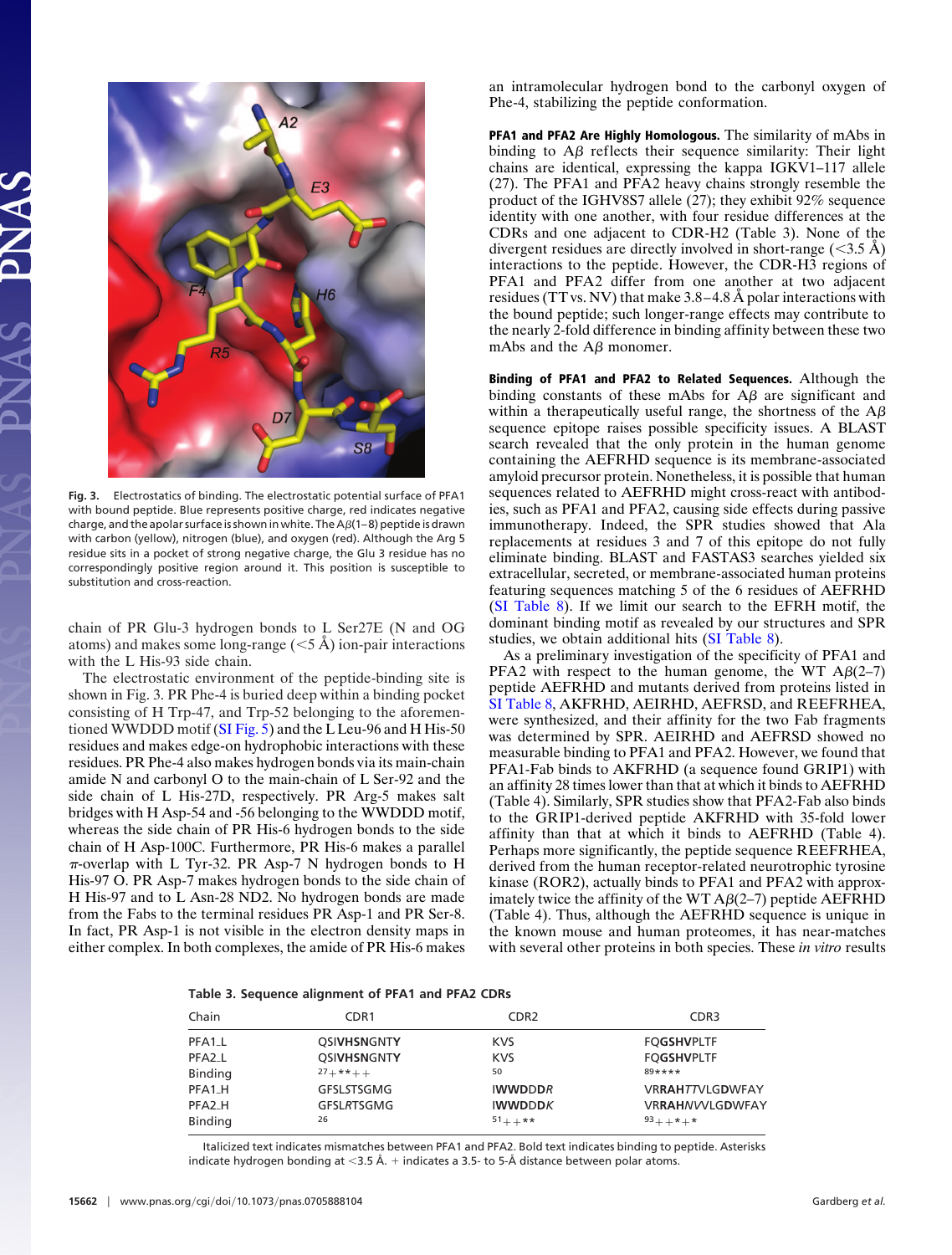

**Fig. 3.** Electrostatics of binding. The electrostatic potential surface of PFA1 with bound peptide. Blue represents positive charge, red indicates negative charge, and the apolar surface is shown in white. The  $A\beta(1-8)$  peptide is drawn with carbon (yellow), nitrogen (blue), and oxygen (red). Although the Arg 5 residue sits in a pocket of strong negative charge, the Glu 3 residue has no correspondingly positive region around it. This position is susceptible to substitution and cross-reaction.

chain of PR Glu-3 hydrogen bonds to L Ser27E (N and OG atoms) and makes some long-range  $(< 5 \text{ Å})$  ion-pair interactions with the L His-93 side chain.

The electrostatic environment of the peptide-binding site is shown in Fig. 3. PR Phe-4 is buried deep within a binding pocket consisting of H Trp-47, and Trp-52 belonging to the aforementioned WWDDD motif [\(SI Fig. 5\)](http://www.pnas.org/cgi/content/full/0705888104/DC1) and the L Leu-96 and H His-50 residues and makes edge-on hydrophobic interactions with these residues. PR Phe-4 also makes hydrogen bonds via its main-chain amide N and carbonyl O to the main-chain of L Ser-92 and the side chain of L His-27D, respectively. PR Arg-5 makes salt bridges with H Asp-54 and -56 belonging to the WWDDD motif, whereas the side chain of PR His-6 hydrogen bonds to the side chain of H Asp-100C. Furthermore, PR His-6 makes a parallel  $\pi$ -overlap with L Tyr-32. PR Asp-7 N hydrogen bonds to H His-97 O. PR Asp-7 makes hydrogen bonds to the side chain of H His-97 and to L Asn-28 ND2. No hydrogen bonds are made from the Fabs to the terminal residues PR Asp-1 and PR Ser-8. In fact, PR Asp-1 is not visible in the electron density maps in either complex. In both complexes, the amide of PR His-6 makes an intramolecular hydrogen bond to the carbonyl oxygen of Phe-4, stabilizing the peptide conformation.

**PFA1 and PFA2 Are Highly Homologous.** The similarity of mAbs in binding to  $A\beta$  reflects their sequence similarity: Their light chains are identical, expressing the kappa IGKV1–117 allele (27). The PFA1 and PFA2 heavy chains strongly resemble the product of the IGHV8S7 allele (27); they exhibit 92% sequence identity with one another, with four residue differences at the CDRs and one adjacent to CDR-H2 (Table 3). None of the divergent residues are directly involved in short-range  $(<3.5 A$ ) interactions to the peptide. However, the CDR-H3 regions of PFA1 and PFA2 differ from one another at two adjacent residues (TT vs. NV) that make 3.8–4.8 Å polar interactions with the bound peptide; such longer-range effects may contribute to the nearly 2-fold difference in binding affinity between these two mAbs and the  $A\beta$  monomer.

**Binding of PFA1 and PFA2 to Related Sequences.** Although the binding constants of these mAbs for  $\overrightarrow{AB}$  are significant and within a therapeutically useful range, the shortness of the  $A\beta$ sequence epitope raises possible specificity issues. A BLAST search revealed that the only protein in the human genome containing the AEFRHD sequence is its membrane-associated amyloid precursor protein. Nonetheless, it is possible that human sequences related to AEFRHD might cross-react with antibodies, such as PFA1 and PFA2, causing side effects during passive immunotherapy. Indeed, the SPR studies showed that Ala replacements at residues 3 and 7 of this epitope do not fully eliminate binding. BLAST and FASTAS3 searches yielded six extracellular, secreted, or membrane-associated human proteins featuring sequences matching 5 of the 6 residues of AEFRHD [\(SI Table 8\)](http://www.pnas.org/cgi/content/full/0705888104/DC1). If we limit our search to the EFRH motif, the dominant binding motif as revealed by our structures and SPR studies, we obtain additional hits [\(SI Table 8\)](http://www.pnas.org/cgi/content/full/0705888104/DC1).

As a preliminary investigation of the specificity of PFA1 and PFA2 with respect to the human genome, the WT  $\text{A}\beta(2-7)$ peptide AEFRHD and mutants derived from proteins listed in [SI Table 8,](http://www.pnas.org/cgi/content/full/0705888104/DC1) AKFRHD, AEIRHD, AEFRSD, and REEFRHEA, were synthesized, and their affinity for the two Fab fragments was determined by SPR. AEIRHD and AEFRSD showed no measurable binding to PFA1 and PFA2. However, we found that PFA1-Fab binds to AKFRHD (a sequence found GRIP1) with an affinity 28 times lower than that at which it binds to AEFRHD (Table 4). Similarly, SPR studies show that PFA2-Fab also binds to the GRIP1-derived peptide AKFRHD with 35-fold lower affinity than that at which it binds to AEFRHD (Table 4). Perhaps more significantly, the peptide sequence REEFRHEA, derived from the human receptor-related neurotrophic tyrosine kinase (ROR2), actually binds to PFA1 and PFA2 with approximately twice the affinity of the WT  $A\beta$ (2–7) peptide AEFRHD (Table 4). Thus, although the AEFRHD sequence is unique in the known mouse and human proteomes, it has near-matches with several other proteins in both species. These *in vitro* results

|  |  |  |  | Table 3. Sequence alignment of PFA1 and PFA2 CDRs |  |
|--|--|--|--|---------------------------------------------------|--|
|--|--|--|--|---------------------------------------------------|--|

| Chain   | CDR <sub>1</sub>   | CDR <sub>2</sub> | CDR <sub>3</sub>       |
|---------|--------------------|------------------|------------------------|
| PFA1_L  | <b>OSIVHSNGNTY</b> | <b>KVS</b>       | <b>FOGSHVPLTF</b>      |
| PFA2_L  | <b>QSIVHSNGNTY</b> | <b>KVS</b>       | <b>FOGSHVPLTF</b>      |
| Binding | $27 + * * + +$     | 50               | $89***$                |
| PFA1_H  | GFSLSTSGMG         | <b>IWWDDDR</b>   | <b>VRRAHTTVLGDWFAY</b> |
| PFA2_H  | <b>GFSLRTSGMG</b>  | <b>IWWDDDK</b>   | <b>VRRAHNVVLGDWFAY</b> |
| Binding | 26                 | $51 + +$ **      | $93 + + * + *$         |

Italicized text indicates mismatches between PFA1 and PFA2. Bold text indicates binding to peptide. Asterisks indicate hydrogen bonding at  $<$ 3.5 Å.  $+$  indicates a 3.5- to 5-Å distance between polar atoms.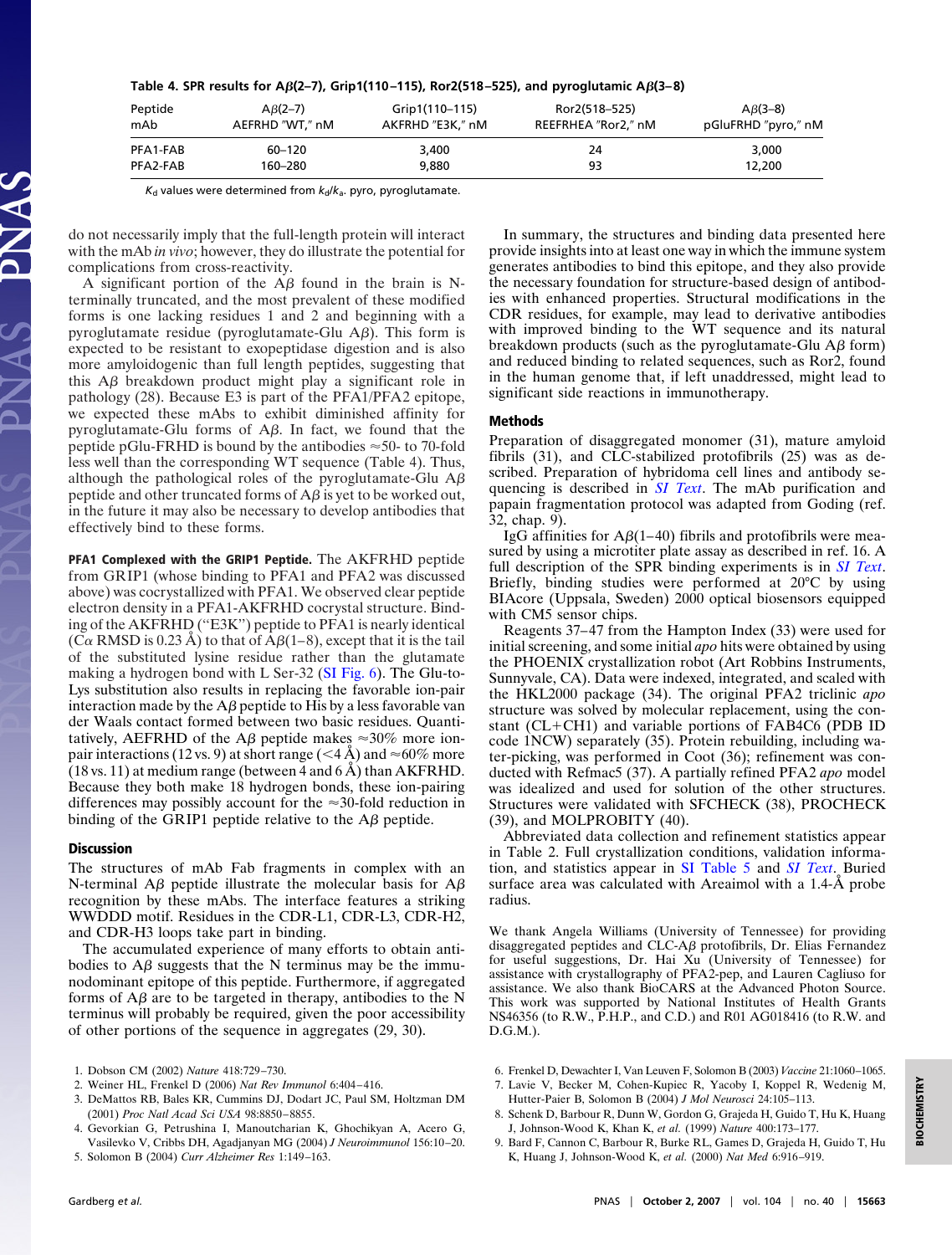| Table 4. SPR results for A $\beta$ (2–7), Grip1(110–115), Ror2(518–525), and pyroglutamic A $\beta$ (3–8) |  |  |  |
|-----------------------------------------------------------------------------------------------------------|--|--|--|
|-----------------------------------------------------------------------------------------------------------|--|--|--|

| Peptide  | $AB(2-7)$       | Grip1(110-115)   | Ror2(518–525)       | $A\beta(3-8)$       |
|----------|-----------------|------------------|---------------------|---------------------|
| mAb      | AEFRHD "WT," nM | AKFRHD "E3K," nM | REEFRHEA "Ror2," nM | pGluFRHD "pyro," nM |
| PFA1-FAB | 60-120          | 3,400            | 24                  | 3,000               |
| PFA2-FAB | 160-280         | 9.880            | 93                  | 12,200              |

*K*<sub>d</sub> values were determined from  $k_d/k_a$ . pyro, pyroglutamate.

do not necessarily imply that the full-length protein will interact with the mAb *in vivo*; however, they do illustrate the potential for complications from cross-reactivity.

A significant portion of the  $\overrightarrow{AB}$  found in the brain is Nterminally truncated, and the most prevalent of these modified forms is one lacking residues 1 and 2 and beginning with a pyroglutamate residue (pyroglutamate-Glu  $A\beta$ ). This form is expected to be resistant to exopeptidase digestion and is also more amyloidogenic than full length peptides, suggesting that this  $\Delta\beta$  breakdown product might play a significant role in pathology (28). Because E3 is part of the PFA1/PFA2 epitope, we expected these mAbs to exhibit diminished affinity for pyroglutamate-Glu forms of  $A\beta$ . In fact, we found that the peptide pGlu-FRHD is bound by the antibodies  $\approx$  50- to 70-fold less well than the corresponding WT sequence (Table 4). Thus, although the pathological roles of the pyroglutamate-Glu  $A\beta$ peptide and other truncated forms of  $A\beta$  is yet to be worked out, in the future it may also be necessary to develop antibodies that effectively bind to these forms.

**PFA1 Complexed with the GRIP1 Peptide.** The AKFRHD peptide from GRIP1 (whose binding to PFA1 and PFA2 was discussed above) was cocrystallized with PFA1. We observed clear peptide electron density in a PFA1-AKFRHD cocrystal structure. Binding of the AKFRHD (''E3K'') peptide to PFA1 is nearly identical (C $\alpha$  RMSD is 0.23 Å) to that of A $\beta$ (1–8), except that it is the tail of the substituted lysine residue rather than the glutamate making a hydrogen bond with L Ser-32 [\(SI Fig. 6\)](http://www.pnas.org/cgi/content/full/0705888104/DC1). The Glu-to-Lys substitution also results in replacing the favorable ion-pair interaction made by the  $\overrightarrow{AB}$  peptide to His by a less favorable van der Waals contact formed between two basic residues. Quantitatively, AEFRHD of the A $\beta$  peptide makes  $\approx 30\%$  more ionpair interactions (12 vs. 9) at short range (<4 Å) and  $\approx$  60% more  $(18 \text{ vs. } 11)$  at medium range (between 4 and 6 Å) than AKFRHD. Because they both make 18 hydrogen bonds, these ion-pairing differences may possibly account for the  $\approx$ 30-fold reduction in binding of the GRIP1 peptide relative to the  $A\beta$  peptide.

## **Discussion**

The structures of mAb Fab fragments in complex with an N-terminal A $\beta$  peptide illustrate the molecular basis for A $\beta$ recognition by these mAbs. The interface features a striking WWDDD motif. Residues in the CDR-L1, CDR-L3, CDR-H2, and CDR-H3 loops take part in binding.

The accumulated experience of many efforts to obtain antibodies to  $A\beta$  suggests that the N terminus may be the immunodominant epitope of this peptide. Furthermore, if aggregated forms of  $A\beta$  are to be targeted in therapy, antibodies to the N terminus will probably be required, given the poor accessibility of other portions of the sequence in aggregates (29, 30).

- 2. Weiner HL, Frenkel D (2006) *Nat Rev Immunol* 6:404–416.
- 3. DeMattos RB, Bales KR, Cummins DJ, Dodart JC, Paul SM, Holtzman DM (2001) *Proc Natl Acad Sci USA* 98:8850–8855.
- 4. Gevorkian G, Petrushina I, Manoutcharian K, Ghochikyan A, Acero G, Vasilevko V, Cribbs DH, Agadjanyan MG (2004) *J Neuroimmunol* 156:10–20.
- 5. Solomon B (2004) *Curr Alzheimer Res* 1:149–163.

In summary, the structures and binding data presented here provide insights into at least one way in which the immune system generates antibodies to bind this epitope, and they also provide the necessary foundation for structure-based design of antibodies with enhanced properties. Structural modifications in the CDR residues, for example, may lead to derivative antibodies with improved binding to the WT sequence and its natural breakdown products (such as the pyroglutamate-Glu  $\overrightarrow{AB}$  form) and reduced binding to related sequences, such as Ror2, found in the human genome that, if left unaddressed, might lead to significant side reactions in immunotherapy.

## **Methods**

Preparation of disaggregated monomer (31), mature amyloid fibrils (31), and CLC-stabilized protofibrils (25) was as described. Preparation of hybridoma cell lines and antibody sequencing is described in *[SI Text](http://www.pnas.org/cgi/content/full/0705888104/DC1)*. The mAb purification and papain fragmentation protocol was adapted from Goding (ref. 32, chap. 9).

IgG affinities for  $A\beta(1-40)$  fibrils and protofibrils were measured by using a microtiter plate assay as described in ref. 16. A full description of the SPR binding experiments is in *[SI Text](http://www.pnas.org/cgi/content/full/0705888104/DC1)*. Briefly, binding studies were performed at 20°C by using BIAcore (Uppsala, Sweden) 2000 optical biosensors equipped with CM5 sensor chips.

Reagents 37–47 from the Hampton Index (33) were used for initial screening, and some initial *apo* hits were obtained by using the PHOENIX crystallization robot (Art Robbins Instruments, Sunnyvale, CA). Data were indexed, integrated, and scaled with the HKL2000 package (34). The original PFA2 triclinic *apo* structure was solved by molecular replacement, using the constant ( $CL+CH1$ ) and variable portions of FAB4C6 (PDB ID code 1NCW) separately (35). Protein rebuilding, including water-picking, was performed in Coot (36); refinement was conducted with Refmac5 (37). A partially refined PFA2 *apo* model was idealized and used for solution of the other structures. Structures were validated with SFCHECK (38), PROCHECK (39), and MOLPROBITY (40).

Abbreviated data collection and refinement statistics appear in Table 2. Full crystallization conditions, validation information, and statistics appear in [SI Table 5](http://www.pnas.org/cgi/content/full/0705888104/DC1) and *[SI Text](http://www.pnas.org/cgi/content/full/0705888104/DC1)*. Buried surface area was calculated with Areaimol with a 1.4-Å probe radius.

We thank Angela Williams (University of Tennessee) for providing disaggregated peptides and  $CLC-A\beta$  protofibrils, Dr. Elias Fernandez for useful suggestions, Dr. Hai Xu (University of Tennessee) for assistance with crystallography of PFA2-pep, and Lauren Cagliuso for assistance. We also thank BioCARS at the Advanced Photon Source. This work was supported by National Institutes of Health Grants NS46356 (to R.W., P.H.P., and C.D.) and R01 AG018416 (to R.W. and D.G.M.).

- 6. Frenkel D, Dewachter I, Van Leuven F, Solomon B (2003) *Vaccine* 21:1060–1065.
- 7. Lavie V, Becker M, Cohen-Kupiec R, Yacoby I, Koppel R, Wedenig M, Hutter-Paier B, Solomon B (2004) *J Mol Neurosci* 24:105–113.
- 8. Schenk D, Barbour R, Dunn W, Gordon G, Grajeda H, Guido T, Hu K, Huang J, Johnson-Wood K, Khan K, *et al.* (1999) *Nature* 400:173–177.
- 9. Bard F, Cannon C, Barbour R, Burke RL, Games D, Grajeda H, Guido T, Hu K, Huang J, Johnson-Wood K, *et al.* (2000) *Nat Med* 6:916–919.

<sup>1.</sup> Dobson CM (2002) *Nature* 418:729–730.